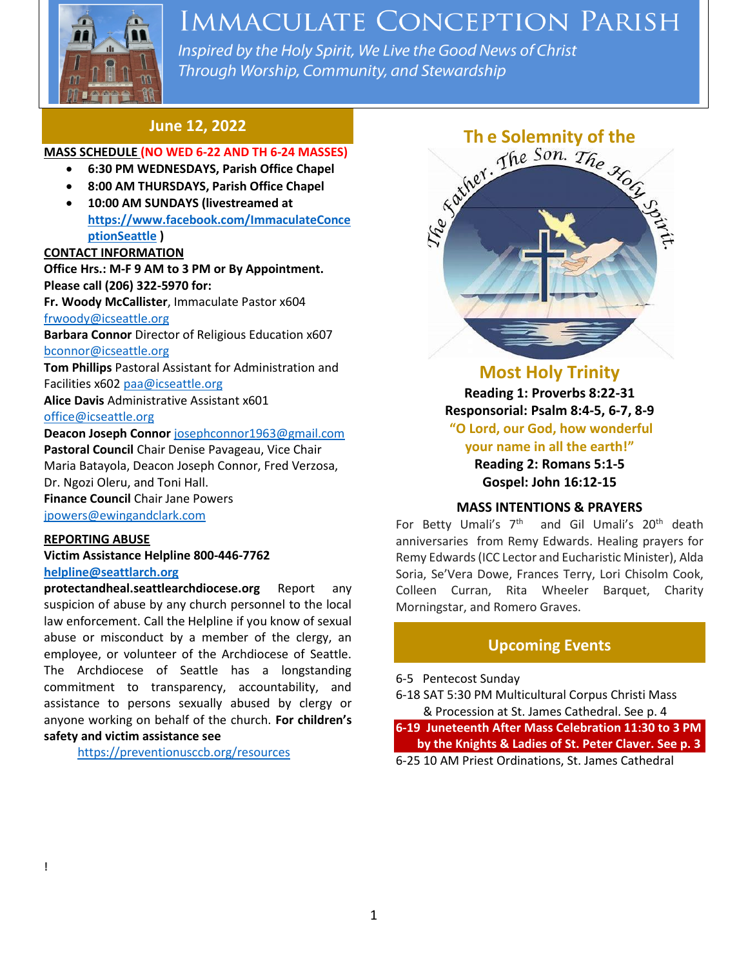

# **IMMACULATE CONCEPTION PARISH**

Inspired by the Holy Spirit, We Live the Good News of Christ Through Worship, Community, and Stewardship

### **June 12, 2022**

#### **MASS SCHEDULE (NO WED 6-22 AND TH 6-24 MASSES)**

- **6:30 PM WEDNESDAYS, Parish Office Chapel**
- **8:00 AM THURSDAYS, Parish Office Chapel**
- **10:00 AM SUNDAYS (livestreamed at [https://www.facebook.com/ImmaculateConce](https://www.facebook.com/ImmaculateConceptionSeattle) [ptionSeattle](https://www.facebook.com/ImmaculateConceptionSeattle) )**

#### **CONTACT INFORMATION**

**Office Hrs.: M-F 9 AM to 3 PM or By Appointment. Please call (206) 322-5970 for:**

**Fr. Woody McCallister**, Immaculate Pastor x604 [frwoody@icseattle.org](mailto:frwoody@icseattle.org)

**Barbara Connor** Director of Religious Education x607 [bconnor@icseattle.org](mailto:bconnor@icseattle.org)

**Tom Phillips** Pastoral Assistant for Administration and Facilities x602 [paa@icseattle.org](mailto:paa@icseattle.org)

**Alice Davis** Administrative Assistant x601 [office@icseattle.org](mailto:office@icseattle.org)

#### **Deacon Joseph Connor** [josephconnor1963@gmail.com](mailto:josephconnor1963@gmail.com)

**Pastoral Council** Chair Denise Pavageau, Vice Chair Maria Batayola, Deacon Joseph Connor, Fred Verzosa, Dr. Ngozi Oleru, and Toni Hall. **Finance Council** Chair Jane Powers

[jpowers@ewingandclark.com](mailto:jpowers@ewingandclark.com)

#### **REPORTING ABUSE**

**Victim Assistance Helpline 800-446-7762 [helpline@seattlarch.org](mailto:helpline@seattlarch.org)**

**protectandheal.seattlearchdiocese.org** Report any suspicion of abuse by any church personnel to the local law enforcement. Call the Helpline if you know of sexual abuse or misconduct by a member of the clergy, an employee, or volunteer of the Archdiocese of Seattle. The Archdiocese of Seattle has a longstanding commitment to transparency, accountability, and assistance to persons sexually abused by clergy or anyone working on behalf of the church. **For children's safety and victim assistance see**

<https://preventionusccb.org/resources>



## **Most Holy Trinity**

**Reading 1: Proverbs 8:22-31 Responsorial: Psalm 8:4-5, 6-7, 8-9 "O Lord, our God, how wonderful your name in all the earth!"**

> **Reading 2: Romans 5:1-5 Gospel: John 16:12-15**

#### **MASS INTENTIONS & PRAYERS**

For Betty Umali's 7<sup>th</sup> and Gil Umali's 20<sup>th</sup> death anniversaries from Remy Edwards. Healing prayers for Remy Edwards (ICC Lector and Eucharistic Minister), Alda Soria, Se'Vera Dowe, Frances Terry, Lori Chisolm Cook, Colleen Curran, Rita Wheeler Barquet, Charity Morningstar, and Romero Graves.

### **Upcoming Events**

6-5 Pentecost Sunday

6-18 SAT 5:30 PM Multicultural Corpus Christi Mass & Procession at St. James Cathedral. See p. 4

**6-19 Juneteenth After Mass Celebration 11:30 to 3 PM by the Knights & Ladies of St. Peter Claver. See p. 3** 6-25 10 AM Priest Ordinations, St. James Cathedral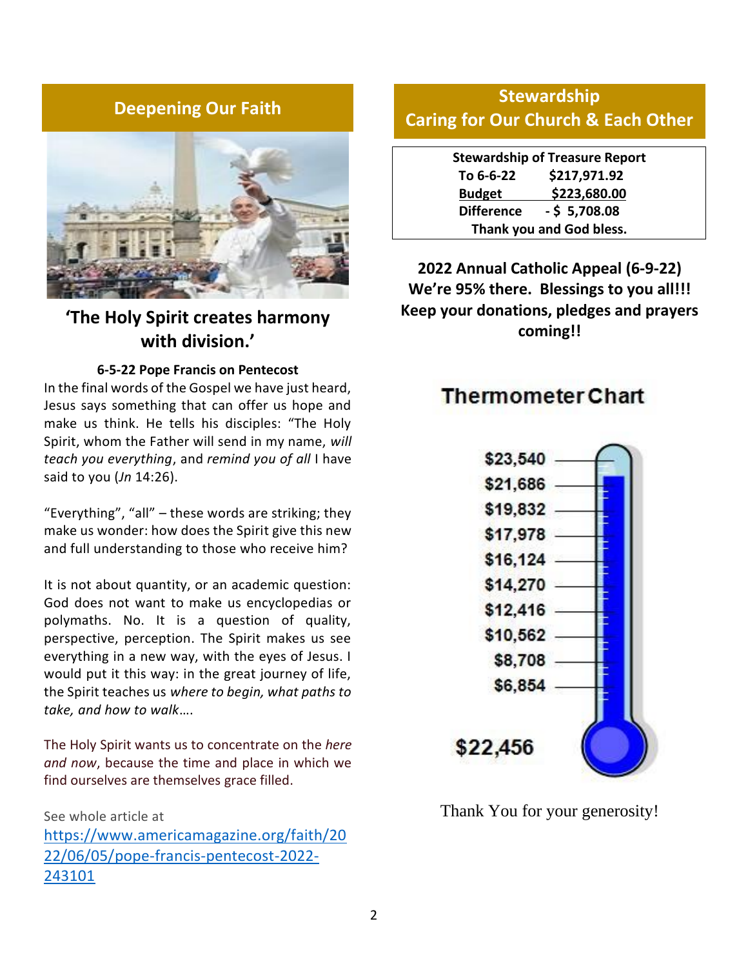## **Deepening Our Faith**



## **'The Holy Spirit creates harmony with division.'**

#### **6-5-22 Pope Francis on Pentecost**

In the final words of the Gospel we have just heard, Jesus says something that can offer us hope and make us think. He tells his disciples: "The Holy Spirit, whom the Father will send in my name, *will teach you everything*, and *remind you of all* I have said to you (*Jn* 14:26).

"Everything", "all" – these words are striking; they make us wonder: how does the Spirit give this new and full understanding to those who receive him?

It is not about quantity, or an academic question: God does not want to make us encyclopedias or polymaths. No. It is a question of quality, perspective, perception. The Spirit makes us see everything in a new way, with the eyes of Jesus. I would put it this way: in the great journey of life, the Spirit teaches us *where to begin, what paths to take, and how to walk*….

The Holy Spirit wants us to concentrate on the *here and now*, because the time and place in which we find ourselves are themselves grace filled.

See whole article at [https://www.americamagazine.org/faith/20](https://www.americamagazine.org/faith/2022/06/05/pope-francis-pentecost-2022-243101) [22/06/05/pope-francis-pentecost-2022-](https://www.americamagazine.org/faith/2022/06/05/pope-francis-pentecost-2022-243101) [243101](https://www.americamagazine.org/faith/2022/06/05/pope-francis-pentecost-2022-243101)

## **Stewardship Caring for Our Church & Each Other**

**Stewardship of Treasure Report To 6-6-22 \$217,971.92 Budget \$223,680.00 Difference - \$ 5,708.08 Thank you and God bless.**

**2022 Annual Catholic Appeal (6-9-22) We're 95% there. Blessings to you all!!! Keep your donations, pledges and prayers coming!!**

## **Thermometer Chart**



Thank You for your generosity!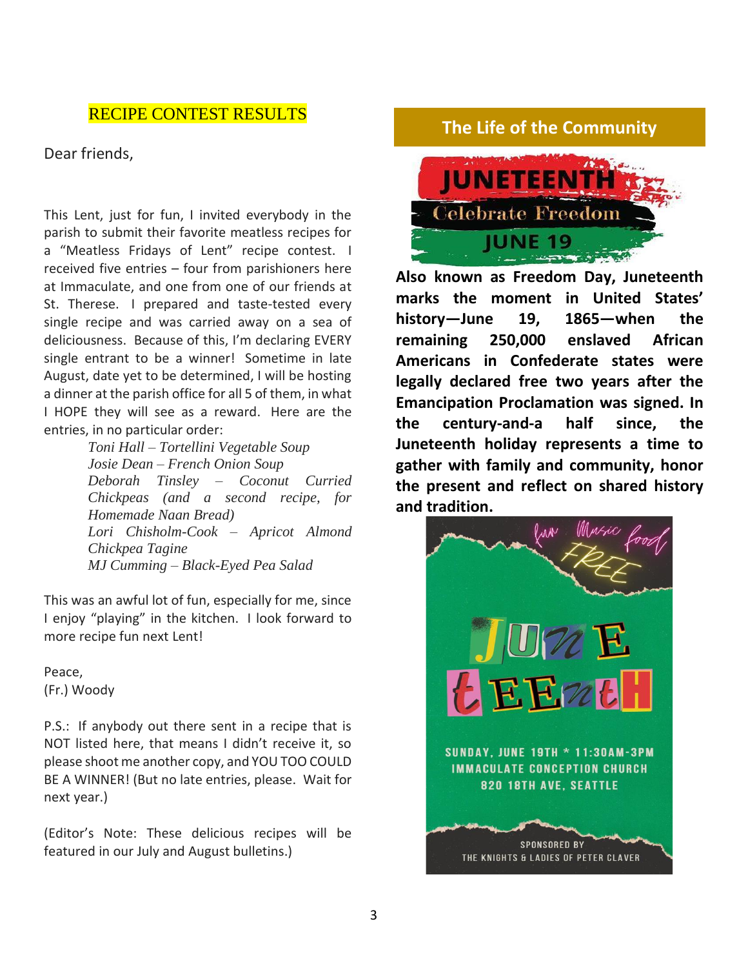## RECIPE CONTEST RESULTS

Dear friends,

This Lent, just for fun, I invited everybody in the parish to submit their favorite meatless recipes for a "Meatless Fridays of Lent" recipe contest. I received five entries – four from parishioners here at Immaculate, and one from one of our friends at St. Therese. I prepared and taste-tested every single recipe and was carried away on a sea of deliciousness. Because of this, I'm declaring EVERY single entrant to be a winner! Sometime in late August, date yet to be determined, I will be hosting a dinner at the parish office for all 5 of them, in what I HOPE they will see as a reward. Here are the entries, in no particular order:

*Toni Hall – Tortellini Vegetable Soup Josie Dean – French Onion Soup Deborah Tinsley – Coconut Curried Chickpeas (and a second recipe, for Homemade Naan Bread) Lori Chisholm-Cook – Apricot Almond Chickpea Tagine MJ Cumming – Black-Eyed Pea Salad*

This was an awful lot of fun, especially for me, since I enjoy "playing" in the kitchen. I look forward to more recipe fun next Lent!

Peace, (Fr.) Woody

P.S.: If anybody out there sent in a recipe that is NOT listed here, that means I didn't receive it, so please shoot me another copy, and YOU TOO COULD BE A WINNER! (But no late entries, please. Wait for next year.)

(Editor's Note: These delicious recipes will be featured in our July and August bulletins.)

## **The Life of the Community**



**Also known as Freedom Day, Juneteenth marks the moment in United States' history—June 19, 1865—when the remaining 250,000 enslaved African Americans in Confederate states were legally declared free two years after the Emancipation Proclamation was signed. In the century-and-a half since, the Juneteenth holiday represents a time to gather with family and community, honor the present and reflect on shared history and tradition.**

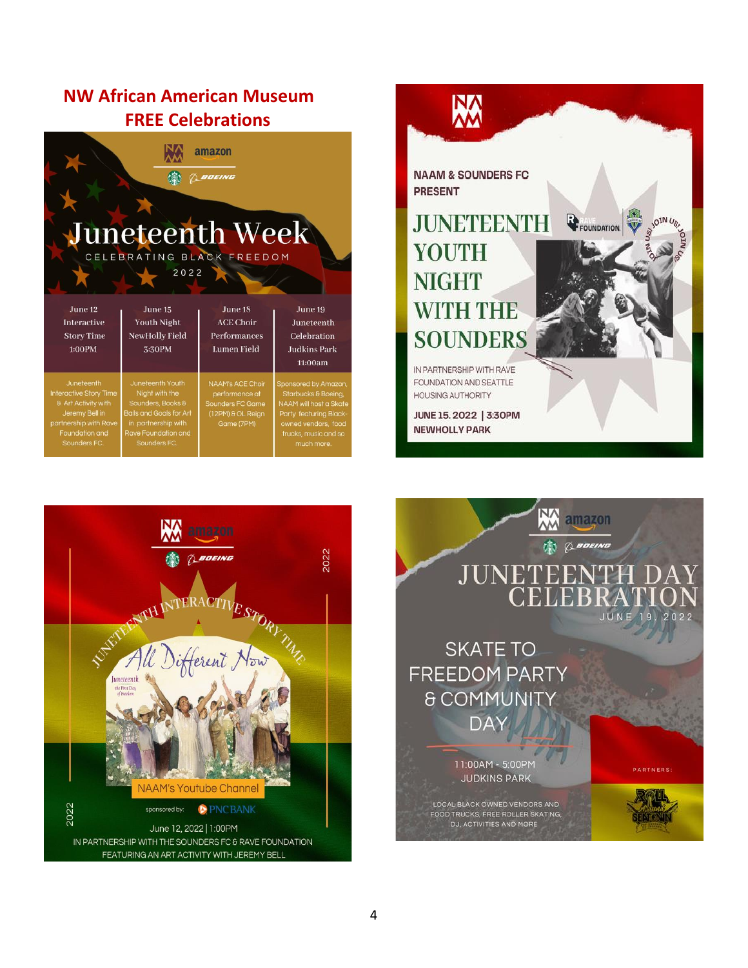## **NW African American Museum FREE Celebrations**

| amazon<br>BOEING<br>Juneteenth Week<br>CELEBRATING BLACK FREEDOM<br>2022                                                                        |                                                                                                                                                                |                                                                                                  |                                                                                                                                                              |
|-------------------------------------------------------------------------------------------------------------------------------------------------|----------------------------------------------------------------------------------------------------------------------------------------------------------------|--------------------------------------------------------------------------------------------------|--------------------------------------------------------------------------------------------------------------------------------------------------------------|
| June 12<br><b>Interactive</b><br><b>Story Time</b><br>1:00PM                                                                                    | June 15<br><b>Youth Night</b><br>NewHolly Field<br>3:30PM                                                                                                      | June 18<br><b>ACE Choir</b><br>Performances<br><b>Lumen Field</b>                                | June 19<br>Juneteenth<br>Celebration<br><b>Judkins Park</b><br>11:00am                                                                                       |
| Juneteenth<br><b>Interactive Story Time</b><br>8 Art Activity with<br>Jeremy Bell in<br>partnership with Rave<br>Foundation and<br>Sounders FC. | Juneteenth Youth<br>Night with the<br>Sounders, Books &<br><b>Balls and Goals for Art</b><br>in partnership with<br><b>Rave Foundation and</b><br>Sounders FC. | NAAM's ACE Choir<br>performance at<br><b>Sounders FC Game</b><br>(12PM) & OL Reign<br>Game (7PM) | Sponsored by Amazon,<br>Starbucks & Boeing,<br>NAAM will host a Skate<br>Party featuring Black-<br>owned vendors, food<br>trucks, music and so<br>much more. |





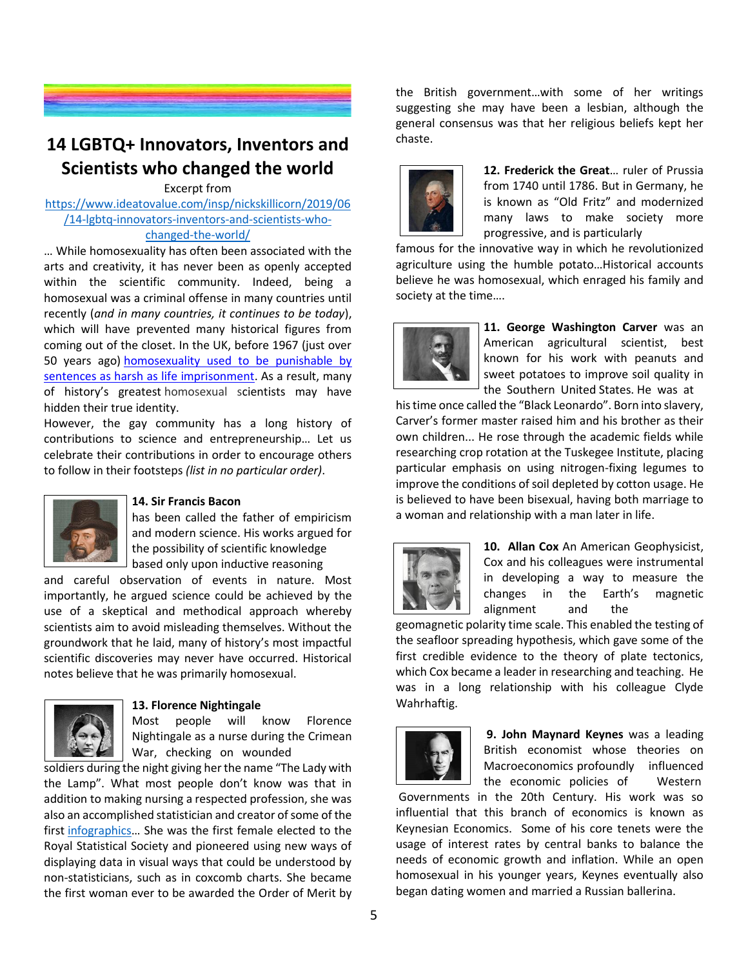

## **14 LGBTQ+ Innovators, Inventors and Scientists who changed the world**

#### Excerpt from

[https://www.ideatovalue.com/insp/nickskillicorn/2019/06](https://www.ideatovalue.com/insp/nickskillicorn/2019/06/14-lgbtq-innovators-inventors-and-scientists-who-changed-the-world/) [/14-lgbtq-innovators-inventors-and-scientists-who](https://www.ideatovalue.com/insp/nickskillicorn/2019/06/14-lgbtq-innovators-inventors-and-scientists-who-changed-the-world/)[changed-the-world/](https://www.ideatovalue.com/insp/nickskillicorn/2019/06/14-lgbtq-innovators-inventors-and-scientists-who-changed-the-world/)

… While homosexuality has often been associated with the arts and creativity, it has never been as openly accepted within the scientific community. Indeed, being a homosexual was a criminal offense in many countries until recently (*and in many countries, it continues to be today*), which will have prevented many historical figures from coming out of the closet. In the UK, before 1967 (just over 50 years ago) [homosexuality used to be punishable by](https://www.bbc.co.uk/newsround/40459213)  [sentences as harsh as life imprisonment.](https://www.bbc.co.uk/newsround/40459213) As a result, many of history's greatest homosexual scientists may have hidden their true identity.

However, the gay community has a long history of contributions to science and entrepreneurship… Let us celebrate their contributions in order to encourage others to follow in their footsteps *(list in no particular order)*.



#### **14. Sir Francis Bacon**

has been called the father of empiricism and modern science. His works argued for the possibility of scientific knowledge based only upon inductive reasoning

and careful observation of events in nature. Most importantly, he argued science could be achieved by the use of a skeptical and methodical approach whereby scientists aim to avoid misleading themselves. Without the groundwork that he laid, many of history's most impactful scientific discoveries may never have occurred. Historical notes believe that he was primarily homosexual.



#### **13. Florence Nightingale**

Most people will know Florence Nightingale as a nurse during the Crimean War, checking on wounded

soldiers during the night giving her the name "The Lady with the Lamp". What most people don't know was that in addition to making nursing a respected profession, she was also an accomplished statistician and creator of some of the first [infographics](https://www.atlasobscura.com/articles/florence-nightingale-infographic)… She was the first female elected to the Royal Statistical Society and pioneered using new ways of displaying data in visual ways that could be understood by non-statisticians, such as in coxcomb charts. She became the first woman ever to be awarded the Order of Merit by

the British government…with some of her writings suggesting she may have been a lesbian, although the general consensus was that her religious beliefs kept her chaste.



**12. Frederick the Great**… ruler of Prussia from 1740 until 1786. But in Germany, he is known as "Old Fritz" and modernized many laws to make society more progressive, and is particularly

famous for the innovative way in which he revolutionized agriculture using the humble potato…Historical accounts believe he was homosexual, which enraged his family and society at the time….



**11. George Washington Carver** was an American agricultural scientist, best known for his work with peanuts and sweet potatoes to improve soil quality in the Southern United States. He was at

his time once called the "Black Leonardo". Born into slavery, Carver's former master raised him and his brother as their own children... He rose through the academic fields while researching crop rotation at the Tuskegee Institute, placing particular emphasis on using nitrogen-fixing legumes to improve the conditions of soil depleted by cotton usage. He is believed to have been bisexual, having both marriage to a woman and relationship with a man later in life.



**10. Allan Cox** An American Geophysicist, Cox and his colleagues were instrumental in developing a way to measure the changes in the Earth's magnetic alignment and the

geomagnetic polarity time scale. This enabled the testing of the seafloor spreading hypothesis, which gave some of the first credible evidence to the theory of plate tectonics, which Cox became a leader in researching and teaching. He was in a long relationship with his colleague Clyde Wahrhaftig.



**9. John Maynard Keynes** was a leading British economist whose theories on Macroeconomics profoundly influenced the economic policies of Western

Governments in the 20th Century. His work was so influential that this branch of economics is known as Keynesian Economics. Some of his core tenets were the usage of interest rates by central banks to balance the needs of economic growth and inflation. While an open homosexual in his younger years, Keynes eventually also began dating women and married a Russian ballerina.